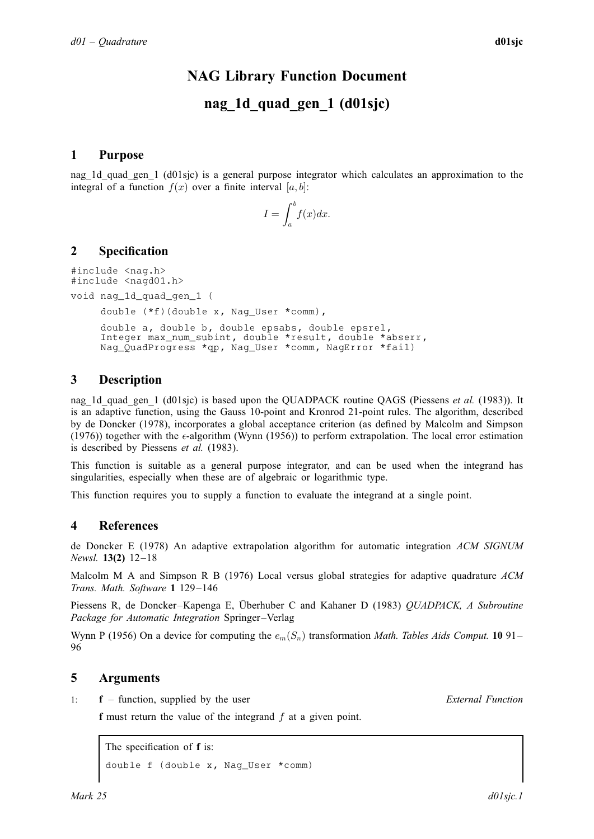# NAG Library Function Document

# nag<sup>1</sup>d quad gen 1 (d01sjc)

## <span id="page-0-0"></span>1 Purpose

nag\_1d\_quad\_gen\_1 (d01sjc) is a general purpose integrator which calculates an approximation to the integral of a function  $f(x)$  over a finite interval [a, b]:

$$
I = \int_{a}^{b} f(x) dx.
$$

## 2 Specification

#include <nag.h> #include <nagd01.h>

void nag\_1d\_quad\_gen\_1 (

```
double (*f)(double x, Nag_User *comm),
```
double [a](#page-1-0), double [b](#page-1-0), double [epsabs](#page-1-0), double [epsrel,](#page-1-0) Integer [max\\_num\\_subint,](#page-1-0) double [\\*result](#page-1-0), double \*[abserr,](#page-1-0) Nag\_QuadProgress [\\*qp,](#page-1-0) Nag\_User [\\*comm](#page-2-0), NagError \*[fail\)](#page-2-0)

## 3 Description

nag\_1d\_quad\_gen\_1 (d01sjc) is based upon the QUADPACK routine QAGS (Piessens *et al.* (1983)). It is an adaptive function, using the Gauss 10-point and Kronrod 21-point rules. The algorithm, described by de Doncker (1978), incorporates a global acceptance criterion (as defined by Malcolm and Simpson (1976)) together with the  $\epsilon$ -algorithm (Wynn (1956)) to perform extrapolation. The local error estimation is described by Piessens et al. (1983).

This function is suitable as a general purpose integrator, and can be used when the integrand has singularities, especially when these are of algebraic or logarithmic type.

This function requires you to supply a function to evaluate the integrand at a single point.

## 4 References

de Doncker E (1978) An adaptive extrapolation algorithm for automatic integration ACM SIGNUM Newsl. 13(2) 12–18

Malcolm M A and Simpson R B (1976) Local versus global strategies for adaptive quadrature  $ACM$ Trans. Math. Software 1 129–146

Piessens R, de Doncker–Kapenga E, Überhuber C and Kahaner D (1983) OUADPACK, A Subroutine Package for Automatic Integration Springer–Verlag

Wynn P (1956) On a device for computing the  $e_m(S_n)$  transformation Math. Tables Aids Comput. 1091– 96

## 5 Arguments

1: **f** – function, supplied by the user External Function

f must return the value of the integrand  $f$  at a given point.

The specification of **f** is: double f (double [x,](#page-1-0) Nag\_User [\\*comm](#page-1-0))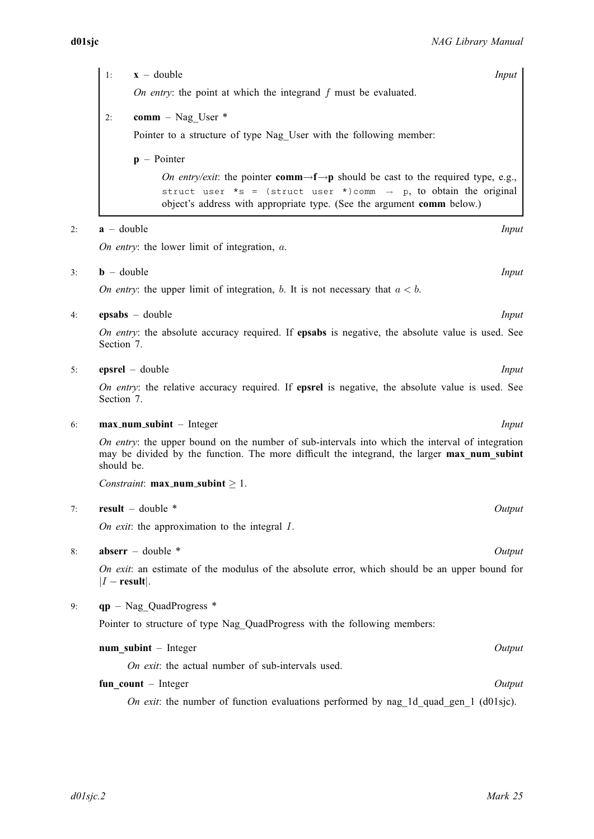<span id="page-1-0"></span>

| 1: | $x -$ double                                                                                                                                           | Input |  |
|----|--------------------------------------------------------------------------------------------------------------------------------------------------------|-------|--|
|    | On entry: the point at which the integrand $f$ must be evaluated.                                                                                      |       |  |
| 2: | comm – Nag User $*$<br>Pointer to a structure of type Nag User with the following member:                                                              |       |  |
|    | $\mathbf{p}$ – Pointer                                                                                                                                 |       |  |
|    | <i>On entry/exit:</i> the pointer <b>comm</b> $\rightarrow$ <b>f</b> $\rightarrow$ <b>p</b> should be cast to the required type, e.g.,                 |       |  |
|    | struct user *s = (struct user *)comm $\rightarrow$ p, to obtain the original<br>object's address with appropriate type. (See the argument comm below.) |       |  |

#### 2:  $\mathbf{a}$  – double Input

On entry: the lower limit of integration, a.

- $3:$  **b** double Input
	- On entry: the upper limit of integration, b. It is not necessary that  $a < b$ .
- 4: **epsabs** double Input

On entry: the absolute accuracy required. If epsabs is negative, the absolute value is used. See [Section 7](#page-3-0).

#### 5: **epsrel** – double *Input*

On entry: the relative accuracy required. If **epsrel** is negative, the absolute value is used. See [Section 7](#page-3-0).

#### 6: **max\_num\_subint** – Integer Input

On entry: the upper bound on the number of sub-intervals into which the interval of integration may be divided by the function. The more difficult the integrand, the larger max num subint should be.

Constraint:  $max_number \geq 1$ .

#### 7: result – double \* Output

On exit: the approximation to the integral  $I$ .

### 8: **abserr** – double \* Output

On exit: an estimate of the modulus of the absolute error, which should be an upper bound for  $|I - \text{result}|$ .

## 9: qp – Nag\_QuadProgress \*

Pointer to structure of type Nag\_QuadProgress with the following members:

#### num subint – Integer  $Output$

On exit: the actual number of sub-intervals used.

## fun count – Integer  $Output$

On exit: the number of function evaluations performed by nag\_1d\_quad\_gen\_1 (d01sjc).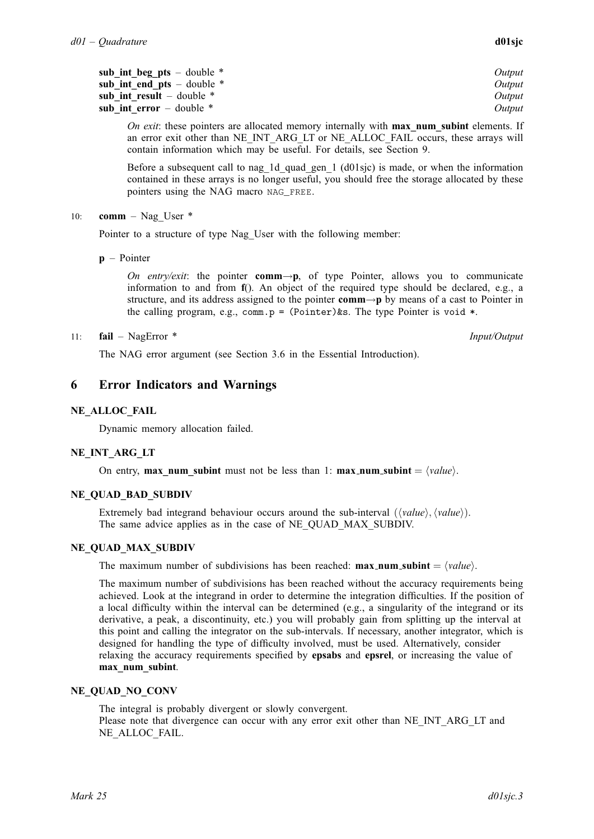<span id="page-2-0"></span>

| sub int beg pts $-$ double $*$ | Output |
|--------------------------------|--------|
| sub int end pts $-$ double $*$ | Output |
| sub int result $-$ double $*$  | Output |
| sub int error $-$ double $*$   | Output |

On exit: these pointers are allocated memory internally with **max** num subint elements. If an error exit other than NE\_INT\_ARG\_LT or NE\_ALLOC\_FAIL occurs, these arrays will contain information which may be useful. For details, see [Section 9.](#page-3-0)

Before a subsequent call to nag\_1d\_quad\_gen\_1  $(d01\text{ s})$  is made, or when the information contained in these arrays is no longer useful, you should free the storage allocated by these pointers using the NAG macro NAG\_FREE.

10: **comm** – Nag User  $*$ 

Pointer to a structure of type Nag\_User with the following member:

 $\mathbf{p}$  – Pointer

On entry/exit: the pointer comm $\rightarrow p$ , of type Pointer, allows you to communicate information to and from [f](#page-0-0)(). An object of the required type should be declared, e.g., a structure, and its address assigned to the pointer comm $\rightarrow$ p by means of a cast to Pointer in the calling program, e.g., comm.p =  $(Pointer)$ &s. The type Pointer is void \*.

## 11: fail – NagError \* Input/Output

The NAG error argument (see Section 3.6 in the Essential Introduction).

## 6 Error Indicators and Warnings

## NE\_ALLOC\_FAIL

Dynamic memory allocation failed.

## NE\_INT\_ARG\_LT

On entry, max num [subint](#page-1-0) must not be less than 1: max num subint  $= \langle value \rangle$ .

## NE\_QUAD\_BAD\_SUBDIV

Extremely bad integrand behaviour occurs around the sub-interval  $(\langle value \rangle, \langle value \rangle)$ . The same advice applies as in the case of NE\_QUAD\_MAX\_SUBDIV.

## NE\_QUAD\_MAX\_SUBDIV

The maximum number of subdivisions has been reached: **max\_num\_[subint](#page-1-0)** =  $\langle value \rangle$ .

The maximum number of subdivisions has been reached without the accuracy requirements being achieved. Look at the integrand in order to determine the integration difficulties. If the position of a local difficulty within the interval can be determined (e.g., a singularity of the integrand or its derivative, a peak, a discontinuity, etc.) you will probably gain from splitting up the interval at this point and calling the integrator on the sub-intervals. If necessary, another integrator, which is designed for handling the type of difficulty involved, must be used. Alternatively, consider relaxing the accuracy requirements specified by [epsabs](#page-1-0) and [epsrel](#page-1-0), or increasing the value of [max\\_num\\_subint](#page-1-0).

## NE\_QUAD\_NO\_CONV

The integral is probably divergent or slowly convergent. Please note that divergence can occur with any error exit other than NE\_INT\_ARG\_LT and NE\_ALLOC\_FAIL.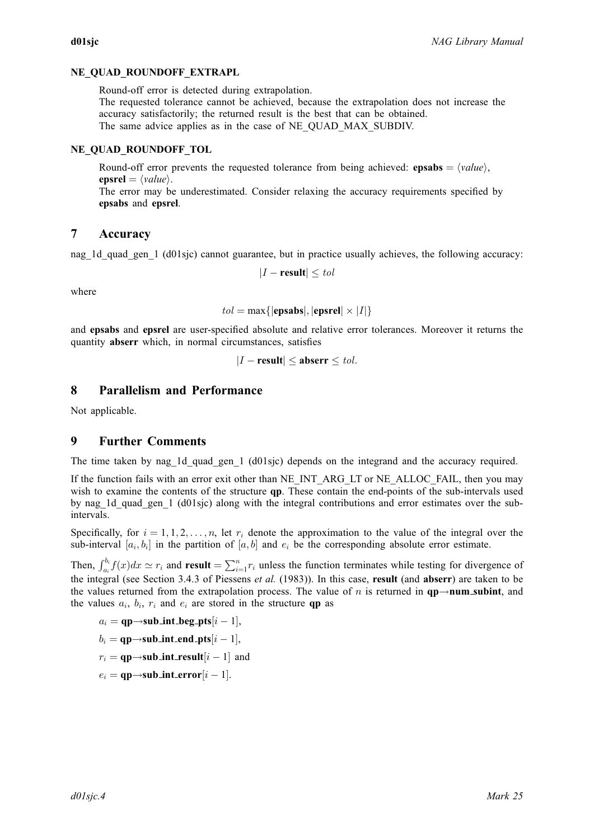## <span id="page-3-0"></span>NE\_OUAD\_ROUNDOFF\_EXTRAPL

Round-off error is detected during extrapolation.

The requested tolerance cannot be achieved, because the extrapolation does not increase the accuracy satisfactorily; the returned result is the best that can be obtained. The same advice applies as in the case of [NE\\_QUAD\\_MAX\\_SUBDIV.](#page-2-0)

## NE\_OUAD\_ROUNDOFF\_TOL

Round-off error prevents the requested tolerance from being achieved: **[epsabs](#page-1-0)** =  $\langle value \rangle$ . [epsrel](#page-1-0) =  $\langle value \rangle$ . The error may be underestimated. Consider relaxing the accuracy requirements specified by [epsabs](#page-1-0) and [epsrel](#page-1-0).

## 7 Accuracy

nag\_1d\_quad\_gen\_1 (d01sjc) cannot guarantee, but in practice usually achieves, the following accuracy:

 $|I - \text{result}| \leq tol$ 

where

$$
tol = \max\{|\text{epsabs}|, |\text{epsrel}| \times |I|\}
$$

and [epsabs](#page-1-0) and [epsrel](#page-1-0) are user-specified absolute and relative error tolerances. Moreover it returns the quantity [abserr](#page-1-0) which, in normal circumstances, satisfies

$$
|I - \text{result}| \le \text{abserr} \le \text{tol}.
$$

## 8 Parallelism and Performance

Not applicable.

## 9 Further Comments

The time taken by nag\_1d\_quad\_gen\_1 (d01sjc) depends on the integrand and the accuracy required.

If the function fails with an error exit other than [NE\\_INT\\_ARG\\_LT](#page-2-0) or [NE\\_ALLOC\\_FAIL,](#page-2-0) then you may wish to examine the contents of the structure **[qp](#page-1-0)**. These contain the end-points of the sub-intervals used by nag\_1d\_quad\_gen\_1 (d01sjc) along with the integral contributions and error estimates over the subintervals.

Specifically, for  $i = 1, 1, 2, \ldots, n$ , let  $r_i$  denote the approximation to the value of the integral over the sub-interval  $[a_i, b_i]$  in the partition of  $[a, b]$  and  $e_i$  be the corresponding absolute error estimate.

Then,  $\int_{a_i}^{b_i} f(x)dx \simeq r_i$  and [result](#page-1-0)  $= \sum_{i=1}^n r_i$  unless the function terminates while testing for divergence of the integral (see Section 3.4.3 of [Piessens](#page-0-0) *et al.* (1983)). In this case, [result](#page-1-0) (and [abserr](#page-1-0)) are taken to be the values returned from the extrapolation process. The value of n is returned in  $qp\rightarrow num\_subint$ , and the values  $a_i$ ,  $b_i$ ,  $r_i$  and  $e_i$  are stored in the structure **[qp](#page-1-0)** as

$$
a_i = \mathbf{qp}{\rightarrow}\mathbf{sub\_int\_beg\_pts}[i-1],
$$

 $b_i = \textbf{qp} {\rightarrow} \textbf{sub\_int\_end\_pts}[i-1],$ 

$$
r_i = \mathbf{qp} \rightarrow \mathbf{sub\_int\_result}[i-1] \text{ and }
$$

$$
e_i = \mathbf{qp}{\rightarrow}\mathbf{sub\_int\_error}[i-1].
$$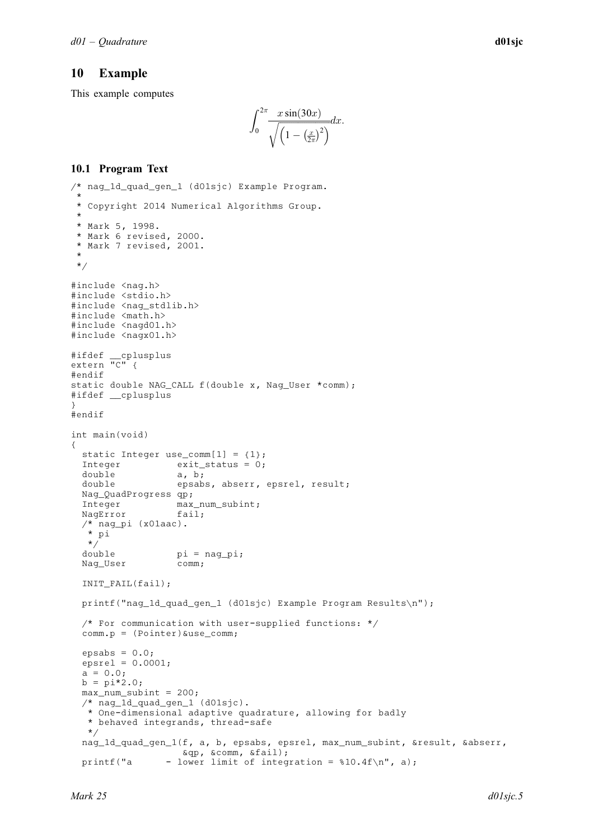## 10 Example

This example computes

$$
\int_0^{2\pi} \frac{x \sin(30x)}{\sqrt{\left(1 - \left(\frac{x}{2\pi}\right)^2\right)}} dx.
$$

## 10.1 Program Text

```
/* nag_1d_quad_gen_1 (d01sjc) Example Program.
 *
 * Copyright 2014 Numerical Algorithms Group.
 *
 * Mark 5, 1998.
 * Mark 6 revised, 2000.
 * Mark 7 revised, 2001.
 *
 */
#include <nag.h>
#include <stdio.h>
#include <nag_stdlib.h>
#include <math.h>
#include <nagd01.h>
#include <nagx01.h>
#ifdef __cplusplus
extern \overline{C}" {
#endif
static double NAG_CALL f(double x, Nag_User *comm);
#ifdef __cplusplus
}
#endif
int main(void)
{
  static Integer use_comm[1] = {1};
  Integer exit_status = 0;
  double a, b;<br>double epsab
                  epsabs, abserr, epsrel, result;
  Nag_QuadProgress qp;
  Integer max_num_subint;
  NagError fail;
  /* nag_pi (x01aac).
   * pi
  \begin{matrix} \star/\end{matrix}double
                   pi = nagpi;Nag User comm;
  INIT_FAIL(fail);
  printf("nag_1d_quad_gen_1 (d01sjc) Example Program Results\n");
  /* For communication with user-supplied functions: */
  comm.p = (Pointer)&use_comm;
  epsabs = 0.0;epsrel = 0.0001;a = 0.0;b = pi*2.0;max\_num\_subint = 200;/* nag_1d_quad_gen_1 (d01sjc).
   * One-dimensional adaptive quadrature, allowing for badly
   * behaved integrands, thread-safe
   */
  nag_1d_quad_gen_1(f, a, b, epsabs, epsrel, max_num_subint, &result, &abserr,
                    &qp, &comm, &fail);
  printf("a - lower limit of integration = \$10.4f\n", a);
```